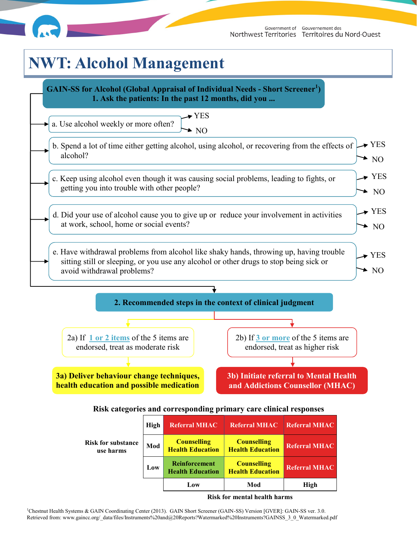

# **NWT: Alcohol Management**

**health education and possible medication** 



**and Addictions Counsellor (MHAC)**

#### **Risk categories and corresponding primary care clinical responses**

| <b>Risk for substance</b><br>use harms | High | <b>Referral MHAC</b>                            | <b>Referral MHAC</b>                          | Referral MHAC        |
|----------------------------------------|------|-------------------------------------------------|-----------------------------------------------|----------------------|
|                                        | Mod  | <b>Counselling</b><br><b>Health Education</b>   | <b>Counselling</b><br><b>Health Education</b> | <b>Referral MHAC</b> |
|                                        | Low  | <b>Reinforcement</b><br><b>Health Education</b> | <b>Counselling</b><br><b>Health Education</b> | <b>Referral MHAC</b> |
|                                        |      | Low                                             | Mod                                           | <b>High</b>          |

#### **Risk for mental health harms**

<sup>1</sup>Chestnut Health Systems & GAIN Coordinating Center (2013). GAIN Short Screener (GAIN-SS) Version [GVER]: GAIN-SS ver. 3.0. Retrieved from: www.gaincc.org/\_data/files/Instruments%20and@20Reports?Watermarked%20Instruments?GAINSS\_3\_0\_Watermarked.pdf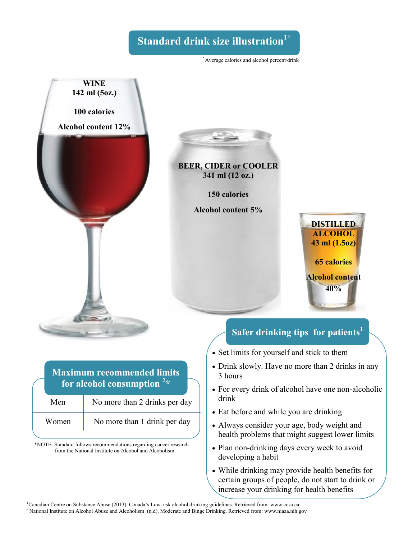# **Standard drink size illustration1\***

\* Average calories and alcohol percent/drink



### **Maximum recommended limits for alcohol consumption <sup>2</sup> \***

| Men   | No more than 2 drinks per day |
|-------|-------------------------------|
| Women | No more than 1 drink per day  |

\*NOTE: Standard follows recommendations regarding cancer research from the National Institute on Alcohol and Alcoholism

# **Safer drinking tips for patients<sup>1</sup>**

**DISTILLED ALCOHOL 43 ml (1.5oz)**

**65 calories**

**Alcohol content 40%**

- Set limits for yourself and stick to them
- Drink slowly. Have no more than 2 drinks in any 3 hours
- For every drink of alcohol have one non-alcoholic drink
- Eat before and while you are drinking
- Always consider your age, body weight and health problems that might suggest lower limits
- Plan non-drinking days every week to avoid developing a habit
- While drinking may provide health benefits for certain groups of people, do not start to drink or increase your drinking for health benefits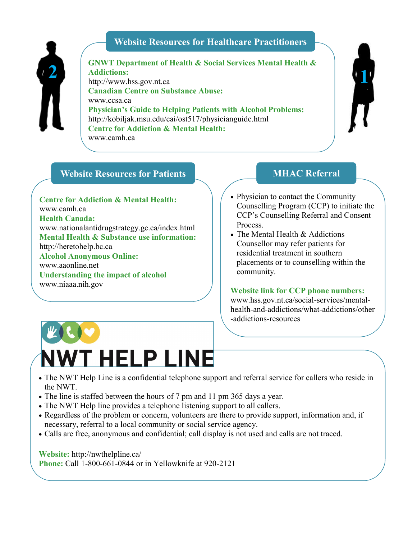#### **Website Resources for Healthcare Practitioners**



**GNWT Department of Health & Social Services Mental Health & Addictions:** http://www.hss.gov.nt.ca **Canadian Centre on Substance Abuse:** www.ccsa.ca **Physician's Guide to Helping Patients with Alcohol Problems:** http://kobiljak.msu.edu/cai/ost517/physicianguide.html **Centre for Addiction & Mental Health:** www.camh.ca **2 1**

### **Website Resources for Patients MHAC Referral**

**Centre for Addiction & Mental Health:** www.camh.ca **Health Canada:** www.nationalantidrugstrategy.gc.ca/index.html **Mental Health & Substance use information:** http://heretohelp.bc.ca **Alcohol Anonymous Online:** www.aaonline.net **Understanding the impact of alcohol** www.niaaa.nih.gov

- Physician to contact the Community Counselling Program (CCP) to initiate the CCP's Counselling Referral and Consent Process.
- The Mental Health & Addictions Counsellor may refer patients for residential treatment in southern placements or to counselling within the community.

**Website link for CCP phone numbers:** www.hss.gov.nt.ca/social-services/mentalhealth-and-addictions/what-addictions/other -addictions-resources



- The NWT Help Line is a confidential telephone support and referral service for callers who reside in the NWT.
- The line is staffed between the hours of 7 pm and 11 pm 365 days a year.
- The NWT Help line provides a telephone listening support to all callers.
- Regardless of the problem or concern, volunteers are there to provide support, information and, if necessary, referral to a local community or social service agency.
- Calls are free, anonymous and confidential; call display is not used and calls are not traced.

**Website:** http://nwthelpline.ca/ **Phone:** Call 1-800-661-0844 or in Yellowknife at 920-2121